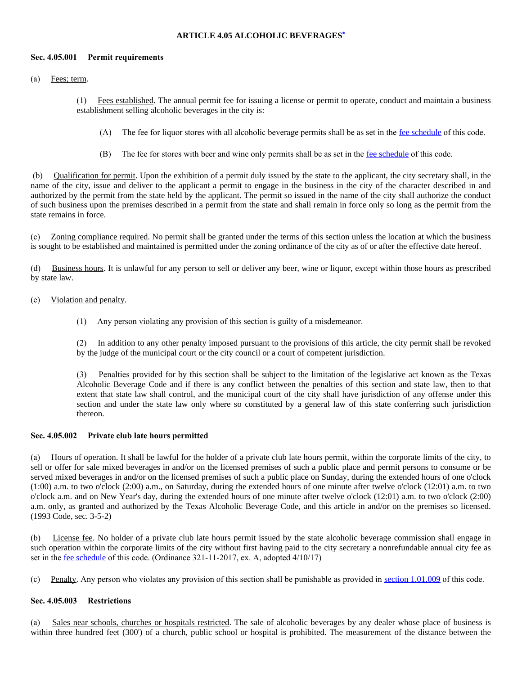### **ARTICLE 4.05 ALCOHOLIC BEVERAGES[\\*](https://z2codes.franklinlegal.net/franklin/DocViewer.jsp?doccode=z20000045&z2collection=pilotpoint&showInToc=false#z2Code_z20000045)**

#### **Sec. 4.05.001 Permit requirements**

(a) Fees; term.

(1) Fees established. The annual permit fee for issuing a license or permit to operate, conduct and maintain a business establishment selling alcoholic beverages in the city is:

- (A) The fee for liquor stores with all alcoholic beverage permits shall be as set in the [fee schedule](https://z2codes.franklinlegal.net/franklin/DocViewer.jsp?doccode=z20000088&z2collection=pilotpoint#JD_Fee%20Schedule) of this code.
- (B) The fee for stores with beer and wine only permits shall be as set in the <u>[fee schedule](https://z2codes.franklinlegal.net/franklin/DocViewer.jsp?doccode=z20000088&z2collection=pilotpoint#JD_Fee%20Schedule)</u> of this code.

(b) Qualification for permit. Upon the exhibition of a permit duly issued by the state to the applicant, the city secretary shall, in the name of the city, issue and deliver to the applicant a permit to engage in the business in the city of the character described in and authorized by the permit from the state held by the applicant. The permit so issued in the name of the city shall authorize the conduct of such business upon the premises described in a permit from the state and shall remain in force only so long as the permit from the state remains in force.

(c) Zoning compliance required. No permit shall be granted under the terms of this section unless the location at which the business is sought to be established and maintained is permitted under the zoning ordinance of the city as of or after the effective date hereof.

(d) Business hours. It is unlawful for any person to sell or deliver any beer, wine or liquor, except within those hours as prescribed by state law.

- (e) Violation and penalty.
	- (1) Any person violating any provision of this section is guilty of a misdemeanor.

(2) In addition to any other penalty imposed pursuant to the provisions of this article, the city permit shall be revoked by the judge of the municipal court or the city council or a court of competent jurisdiction.

(3) Penalties provided for by this section shall be subject to the limitation of the legislative act known as the Texas Alcoholic Beverage Code and if there is any conflict between the penalties of this section and state law, then to that extent that state law shall control, and the municipal court of the city shall have jurisdiction of any offense under this section and under the state law only where so constituted by a general law of this state conferring such jurisdiction thereon.

# **Sec. 4.05.002 Private club late hours permitted**

(a) Hours of operation. It shall be lawful for the holder of a private club late hours permit, within the corporate limits of the city, to sell or offer for sale mixed beverages in and/or on the licensed premises of such a public place and permit persons to consume or be served mixed beverages in and/or on the licensed premises of such a public place on Sunday, during the extended hours of one o'clock (1:00) a.m. to two o'clock (2:00) a.m., on Saturday, during the extended hours of one minute after twelve o'clock (12:01) a.m. to two o'clock a.m. and on New Year's day, during the extended hours of one minute after twelve o'clock (12:01) a.m. to two o'clock (2:00) a.m. only, as granted and authorized by the Texas Alcoholic Beverage Code, and this article in and/or on the premises so licensed. (1993 Code, sec. 3-5-2)

(b) License fee. No holder of a private club late hours permit issued by the state alcoholic beverage commission shall engage in such operation within the corporate limits of the city without first having paid to the city secretary a nonrefundable annual city fee as set in the <u>[fee schedule](https://z2codes.franklinlegal.net/franklin/DocViewer.jsp?doccode=z20000088&z2collection=pilotpoint#JD_Fee%20Schedule)</u> of this code. (Ordinance 321-11-2017, ex. A, adopted 4/10/17)

(c) Penalty. Any person who violates any provision of this section shall be punishable as provided in [section 1.01.009](https://z2codes.franklinlegal.net/franklin/DocViewer.jsp?doccode=z20000011&z2collection=pilotpoint#JD_1.01.009) of this code.

#### **Sec. 4.05.003 Restrictions**

Sales near schools, churches or hospitals restricted. The sale of alcoholic beverages by any dealer whose place of business is within three hundred feet (300') of a church, public school or hospital is prohibited. The measurement of the distance between the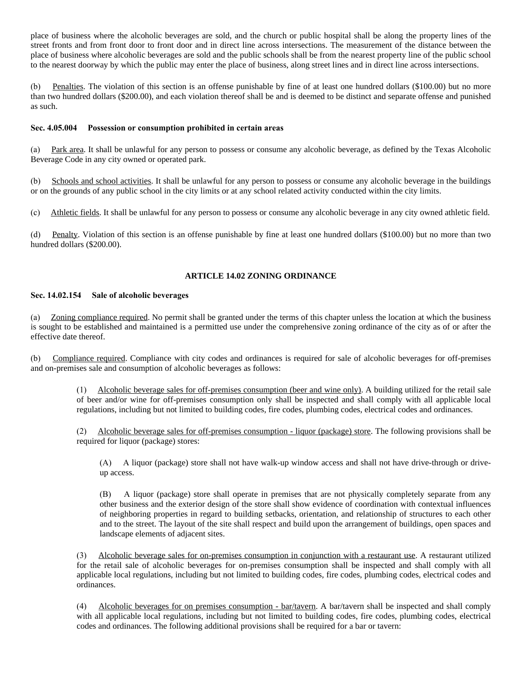place of business where the alcoholic beverages are sold, and the church or public hospital shall be along the property lines of the street fronts and from front door to front door and in direct line across intersections. The measurement of the distance between the place of business where alcoholic beverages are sold and the public schools shall be from the nearest property line of the public school to the nearest doorway by which the public may enter the place of business, along street lines and in direct line across intersections.

(b) Penalties. The violation of this section is an offense punishable by fine of at least one hundred dollars (\$100.00) but no more than two hundred dollars (\$200.00), and each violation thereof shall be and is deemed to be distinct and separate offense and punished as such.

### **Sec. 4.05.004 Possession or consumption prohibited in certain areas**

(a) Park area. It shall be unlawful for any person to possess or consume any alcoholic beverage, as defined by the Texas Alcoholic Beverage Code in any city owned or operated park.

(b) Schools and school activities. It shall be unlawful for any person to possess or consume any alcoholic beverage in the buildings or on the grounds of any public school in the city limits or at any school related activity conducted within the city limits.

(c) Athletic fields. It shall be unlawful for any person to possess or consume any alcoholic beverage in any city owned athletic field.

(d) Penalty. Violation of this section is an offense punishable by fine at least one hundred dollars (\$100.00) but no more than two hundred dollars (\$200.00).

# **ARTICLE 14.02 ZONING ORDINANCE**

# **Sec. 14.02.154 Sale of alcoholic beverages**

(a) Zoning compliance required. No permit shall be granted under the terms of this chapter unless the location at which the business is sought to be established and maintained is a permitted use under the comprehensive zoning ordinance of the city as of or after the effective date thereof.

(b) Compliance required. Compliance with city codes and ordinances is required for sale of alcoholic beverages for off-premises and on-premises sale and consumption of alcoholic beverages as follows:

> (1) Alcoholic beverage sales for off-premises consumption (beer and wine only). A building utilized for the retail sale of beer and/or wine for off-premises consumption only shall be inspected and shall comply with all applicable local regulations, including but not limited to building codes, fire codes, plumbing codes, electrical codes and ordinances.

> (2) Alcoholic beverage sales for off-premises consumption - liquor (package) store. The following provisions shall be required for liquor (package) stores:

(A) A liquor (package) store shall not have walk-up window access and shall not have drive-through or driveup access.

(B) A liquor (package) store shall operate in premises that are not physically completely separate from any other business and the exterior design of the store shall show evidence of coordination with contextual influences of neighboring properties in regard to building setbacks, orientation, and relationship of structures to each other and to the street. The layout of the site shall respect and build upon the arrangement of buildings, open spaces and landscape elements of adjacent sites.

(3) Alcoholic beverage sales for on-premises consumption in conjunction with a restaurant use. A restaurant utilized for the retail sale of alcoholic beverages for on-premises consumption shall be inspected and shall comply with all applicable local regulations, including but not limited to building codes, fire codes, plumbing codes, electrical codes and ordinances.

(4) Alcoholic beverages for on premises consumption - bar/tavern. A bar/tavern shall be inspected and shall comply with all applicable local regulations, including but not limited to building codes, fire codes, plumbing codes, electrical codes and ordinances. The following additional provisions shall be required for a bar or tavern: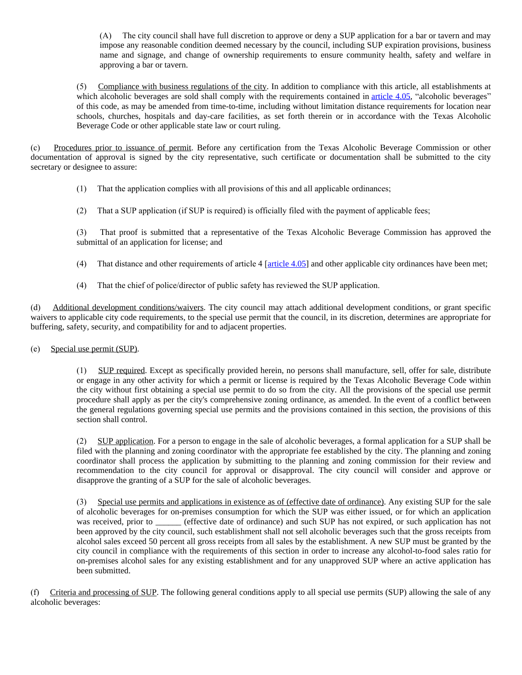(A) The city council shall have full discretion to approve or deny a SUP application for a bar or tavern and may impose any reasonable condition deemed necessary by the council, including SUP expiration provisions, business name and signage, and change of ownership requirements to ensure community health, safety and welfare in approving a bar or tavern.

(5) Compliance with business regulations of the city. In addition to compliance with this article, all establishments at which alcoholic beverages are sold shall comply with the requirements contained in [article 4.05,](https://z2codes.franklinlegal.net/franklin/DocViewer.jsp?doccode=z20000041&z2collection=pilotpoint#JD_4.05) "alcoholic beverages" of this code, as may be amended from time-to-time, including without limitation distance requirements for location near schools, churches, hospitals and day-care facilities, as set forth therein or in accordance with the Texas Alcoholic Beverage Code or other applicable state law or court ruling.

(c) Procedures prior to issuance of permit. Before any certification from the Texas Alcoholic Beverage Commission or other documentation of approval is signed by the city representative, such certificate or documentation shall be submitted to the city secretary or designee to assure:

- (1) That the application complies with all provisions of this and all applicable ordinances;
- (2) That a SUP application (if SUP is required) is officially filed with the payment of applicable fees;

(3) That proof is submitted that a representative of the Texas Alcoholic Beverage Commission has approved the submittal of an application for license; and

- (4) That distance and other requirements of article  $4$  [[article 4.05](https://z2codes.franklinlegal.net/franklin/DocViewer.jsp?doccode=z20000041&z2collection=pilotpoint#JD_4.05)] and other applicable city ordinances have been met;
- (4) That the chief of police/director of public safety has reviewed the SUP application.

(d) Additional development conditions/waivers. The city council may attach additional development conditions, or grant specific waivers to applicable city code requirements, to the special use permit that the council, in its discretion, determines are appropriate for buffering, safety, security, and compatibility for and to adjacent properties.

(e) Special use permit (SUP).

(1) SUP required. Except as specifically provided herein, no persons shall manufacture, sell, offer for sale, distribute or engage in any other activity for which a permit or license is required by the Texas Alcoholic Beverage Code within the city without first obtaining a special use permit to do so from the city. All the provisions of the special use permit procedure shall apply as per the city's comprehensive zoning ordinance, as amended. In the event of a conflict between the general regulations governing special use permits and the provisions contained in this section, the provisions of this section shall control.

(2) SUP application. For a person to engage in the sale of alcoholic beverages, a formal application for a SUP shall be filed with the planning and zoning coordinator with the appropriate fee established by the city. The planning and zoning coordinator shall process the application by submitting to the planning and zoning commission for their review and recommendation to the city council for approval or disapproval. The city council will consider and approve or disapprove the granting of a SUP for the sale of alcoholic beverages.

(3) Special use permits and applications in existence as of (effective date of ordinance). Any existing SUP for the sale of alcoholic beverages for on-premises consumption for which the SUP was either issued, or for which an application was received, prior to \_\_\_\_\_\_ (effective date of ordinance) and such SUP has not expired, or such application has not been approved by the city council, such establishment shall not sell alcoholic beverages such that the gross receipts from alcohol sales exceed 50 percent all gross receipts from all sales by the establishment. A new SUP must be granted by the city council in compliance with the requirements of this section in order to increase any alcohol-to-food sales ratio for on-premises alcohol sales for any existing establishment and for any unapproved SUP where an active application has been submitted.

(f) Criteria and processing of SUP. The following general conditions apply to all special use permits (SUP) allowing the sale of any alcoholic beverages: